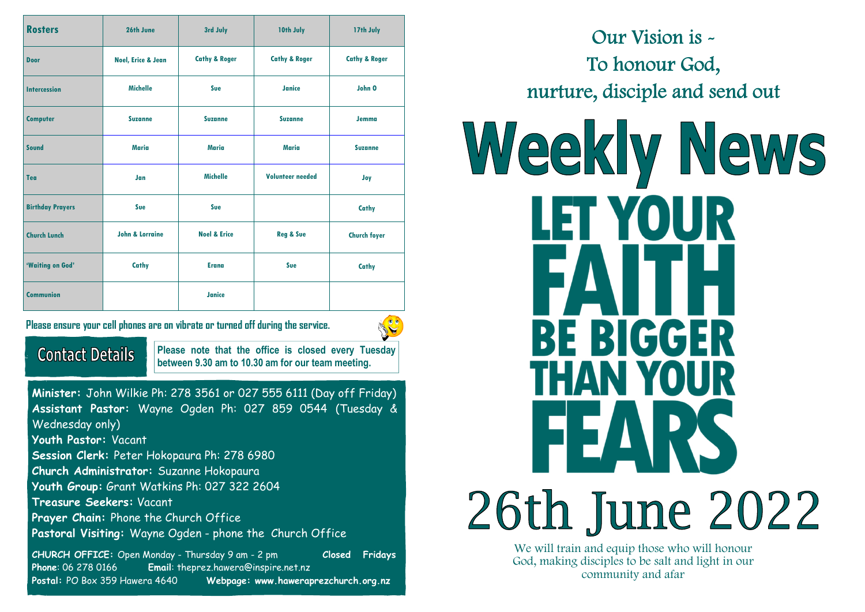| <b>Rosters</b>          | 26th June                     | 3rd July                 | 10th July                | 17th July                |
|-------------------------|-------------------------------|--------------------------|--------------------------|--------------------------|
| <b>Door</b>             | <b>Noel, Erice &amp; Jean</b> | <b>Cathy &amp; Roger</b> | <b>Cathy &amp; Roger</b> | <b>Cathy &amp; Roger</b> |
| <b>Intercession</b>     | <b>Michelle</b>               | Sue                      | Janice                   | John O                   |
| <b>Computer</b>         | <b>Suzanne</b>                | <b>Suzanne</b>           | <b>Suzanne</b>           | <b>Jemma</b>             |
| Sound                   | <b>Maria</b>                  | Maria                    | Maria                    | <b>Suzanne</b>           |
| Tea                     | Jan                           | <b>Michelle</b>          | <b>Volunteer needed</b>  | Joy                      |
| <b>Birthday Prayers</b> | Sue                           | Sue                      |                          | Cathy                    |
| <b>Church Lunch</b>     | <b>John &amp; Lorraine</b>    | <b>Noel &amp; Erice</b>  | <b>Reg &amp; Sue</b>     | <b>Church foyer</b>      |
| 'Waiting on God'        | Cathy                         | <b>Erana</b>             | Sue                      | Cathy                    |
| <b>Communion</b>        |                               | Janice                   |                          |                          |

**Please ensure your cell phones are on vibrate or turned off during the service.** 



## **Contact Details**

**Please note that the office is closed every Tuesday between 9.30 am to 10.30 am for our team meeting.** 

**Minister:** John Wilkie Ph: 278 3561 or 027 555 6111 (Day off Friday) **Assistant Pastor:** Wayne Ogden Ph: 027 859 0544 (Tuesday & Wednesday only) **Youth Pastor:** Vacant **Session Clerk:** Peter Hokopaura Ph: 278 6980 **Church Administrator:** Suzanne Hokopaura **Youth Group:** Grant Watkins Ph: 027 322 2604 **Treasure Seekers:** Vacant **Prayer Chain:** Phone the Church Office **Pastoral Visiting:** Wayne Ogden - phone the Church Office

**CHURCH OFFICE:** Open Monday - Thursday 9 am - 2 pm **Closed Fridays Phone**: 06 278 0166 **Email**: theprez.hawera@inspire.net.nz **Postal:** PO Box 359 Hawera 4640 **Webpage: www.haweraprezchurch.org.nz** 

Our Vision is - To honour God, nurture, disciple and send out

# Weekly News LET YOUR **BE BIGGER** THAN YOUR 26th June 2022

We will train and equip those who will honour God, making disciples to be salt and light in our community and afar